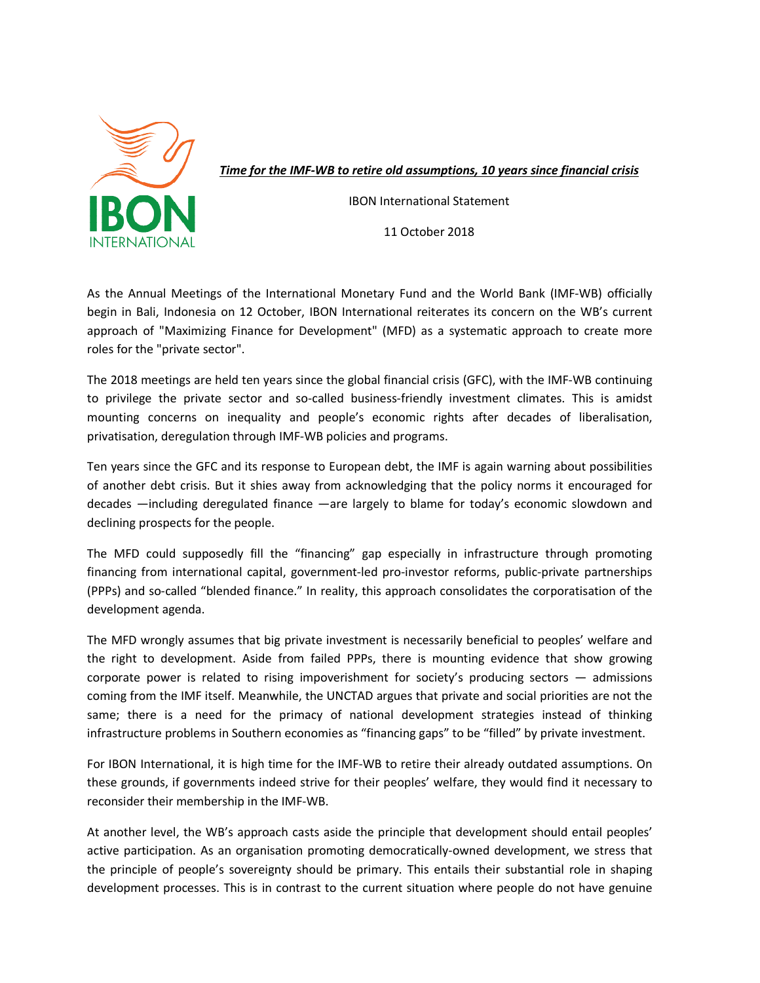

*Time for the IMF for the IMF-WB to retire old assumptions, 10 years since financial crisis ,* 

IBON International Statement

11 October 2018

As the Annual Meetings of the International Monetary Fund and the World Bank (IMF-WB) officially begin in Bali, Indonesia on 12 October, IBON International reiterates its concern on the WB's current approach of "Maximizing Finance for Development" (MFD) as a systematic approach to create more roles for the "private sector". approach of "Maximizing Finance for Development" (MFD) as a systematic approach to create more<br>roles for the "private sector".<br>The 2018 meetings are held ten years since the global financial crisis (GFC), with the IMF-WB c

to privilege the private sector and so-called business-friendly investment climates. This is amidst mounting concerns on inequality and people's economic rights after decades of liberalisation, privatisation, deregulation through IMF-WB policies and programs.

Ten years since the GFC and its response to European debt, the IMF is again warning about possibilities of another debt crisis. But it shies away from acknowledging that the policy norms it encouraged for decades —including deregulated finance —are largely to blame for today's economic slowdown and declining prospects for the people.

declining prospects for the people.<br>The MFD could supposedly fill the "financing" gap especially in infrastructure through promoting financing from international capital, government-led pro-investor reforms, public-private partnerships (PPPs) and so-called "blended finance." In reality, this approach consolidates the corporat development agenda. e through promoting<br>c-private partnerships<br>corporatisation of the

The MFD wrongly assumes that big private investment is necessarily beneficial to peoples' welfare and the right to development. Aside from failed PPPs, there is mounting evidence that show growing corporate power is related to rising impoverishment for society's producing sectors — admissions coming from the IMF itself. Meanwhile, the UNCTAD argues that private and social priorities are not the same; there is a need for the primacy of national development strategies instead of thinking same; there is a need for the primacy of national development strategies instead of thinkin<br>infrastructure problems in Southern economies as "financing gaps" to be "filled" by private investment. hile, the UNCTAD argues that private and social priorities are not th<br>primacy of national development strategies instead of thinkin<br>1 economies as "financing gaps" to be "filled" by private investment.

For IBON International, it is high time for the IMF-WB to retire their already outdated assumptions. On these grounds, if governments indeed strive for their peoples' welfare, they would find it necessary to reconsider their membership in the IMF IMF-WB.

At another level, the WB's approach casts aside the principle that development should entail peoples' active participation. As an organisation promoting democratically-owned development, we stress that the principle of people's sovereignty should be primary. This entails their substantial role in shaping development processes. This is in contrast to the current situation where people do not have genuine